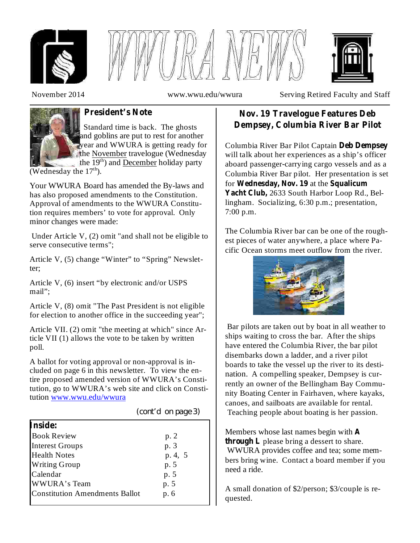





November 2014 www.wwu.edu/wwura Serving Retired Faculty and Staff



Standard time is back. The ghosts and goblins are put to rest for another year and WWURA is getting ready for the November travelogue (Wednesday the 19<sup>th</sup>) and December holiday party

(Wednesday the  $17<sup>th</sup>$ ).

Your WWURA Board has amended the By-laws and has also proposed amendments to the Constitution. Approval of amendments to the WWURA Constitution requires members' to vote for approval. Only minor changes were made:

Under Article V, (2) omit "and shall not be eligible to serve consecutive terms";

Article V, (5) change "Winter" to "Spring" Newsletter;

Article V, (6) insert "by electronic and/or USPS mail";

Article V, (8) omit "The Past President is not eligible for election to another office in the succeeding year";

Article VII. (2) omit "the meeting at which" since Article VII (1) allows the vote to be taken by written poll.

A ballot for voting approval or non-approval is included on page 6 in this newsletter. To view the entire proposed amended version of WWURA's Constitution, go to WWURA's web site and click on Constitution www.wwu.edu/wwura

| Inside:                               |         |
|---------------------------------------|---------|
| <b>Book Review</b>                    | p.2     |
| <b>Interest Groups</b>                | p. 3    |
| <b>Health Notes</b>                   | p. 4, 5 |
| <b>Writing Group</b>                  | p. 5    |
| Calendar                              | p. 5    |
| WWURA's Team                          | p. 5    |
| <b>Constitution Amendments Ballot</b> | p. 6    |
|                                       |         |

### *(cont'd on page 3)*

# **President's Note Nov. 19 Travelogue Features Deb Dempsey, Columbia River Bar Pilot**

Columbia River Bar Pilot Captain **Deb Dempsey** will talk about her experiences as a ship's officer aboard passenger-carrying cargo vessels and as a Columbia River Bar pilot. Her presentation is set for Wednesday, Nov. 19 at the Squalicum Yacht Club, 2633 South Harbor Loop Rd., Bellingham. Socializing, 6:30 p.m.; presentation, 7:00 p.m.

The Columbia River bar can be one of the roughest pieces of water anywhere, a place where Pacific Ocean storms meet outflow from the river.



Bar pilots are taken out by boat in all weather to ships waiting to cross the bar. After the ships have entered the Columbia River, the bar pilot disembarks down a ladder, and a river pilot boards to take the vessel up the river to its destination. A compelling speaker, Dempsey is currently an owner of the Bellingham Bay Community Boating Center in Fairhaven, where kayaks, canoes, and sailboats are available for rental. Teaching people about boating is her passion.

Members whose last names begin with **A through L** please bring a dessert to share. WWURA provides coffee and tea; some members bring wine. Contact a board member if you need a ride.

A small donation of \$2/person; \$3/couple is requested.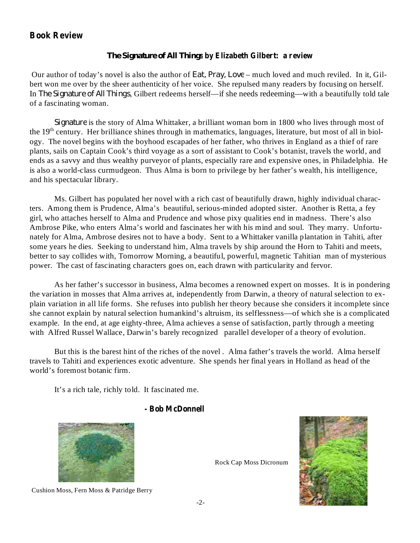## **Book Review**

## **by Elizabeth Gilbert: a review** *The Signature of All Things*

Our author of today's novel is also the author of *Eat, Pray, Love* – much loved and much reviled. In it, Gilbert won me over by the sheer authenticity of her voice. She repulsed many readers by focusing on herself. In *The Signature of All Things*, Gilbert redeems herself—if she needs redeeming—with a beautifully told tale of a fascinating woman.

Signature is the story of Alma Whittaker, a brilliant woman born in 1800 who lives through most of the 19<sup>th</sup> century. Her brilliance shines through in mathematics, languages, literature, but most of all in biology. The novel begins with the boyhood escapades of her father, who thrives in England as a thief of rare plants, sails on Captain Cook's third voyage as a sort of assistant to Cook's botanist, travels the world, and ends as a savvy and thus wealthy purveyor of plants, especially rare and expensive ones, in Philadelphia. He is also a world-class curmudgeon. Thus Alma is born to privilege by her father's wealth, his intelligence, and his spectacular library.

Ms. Gilbert has populated her novel with a rich cast of beautifully drawn, highly individual characters. Among them is Prudence, Alma's beautiful, serious-minded adopted sister. Another is Retta, a fey girl, who attaches herself to Alma and Prudence and whose pixy qualities end in madness. There's also Ambrose Pike, who enters Alma's world and fascinates her with his mind and soul. They marry. Unfortunately for Alma, Ambrose desires not to have a body. Sent to a Whittaker vanilla plantation in Tahiti, after some years he dies. Seeking to understand him, Alma travels by ship around the Horn to Tahiti and meets, better to say collides with, Tomorrow Morning, a beautiful, powerful, magnetic Tahitian man of mysterious power. The cast of fascinating characters goes on, each drawn with particularity and fervor.

As her father's successor in business, Alma becomes a renowned expert on mosses. It is in pondering the variation in mosses that Alma arrives at, independently from Darwin, a theory of natural selection to explain variation in all life forms. She refuses into publish her theory because she considers it incomplete since she cannot explain by natural selection humankind's altruism, its selflessness—of which she is a complicated example. In the end, at age eighty-three, Alma achieves a sense of satisfaction, partly through a meeting with Alfred Russel Wallace, Darwin's barely recognized parallel developer of a theory of evolution.

But this is the barest hint of the riches of the novel . Alma father's travels the world. Alma herself travels to Tahiti and experiences exotic adventure. She spends her final years in Holland as head of the world's foremost botanic firm.

It's a rich tale, richly told. It fascinated me.

### **- Bob McDonnell**





Cushion Moss, Fern Moss & Patridge Berry

Rock Cap Moss Dicronum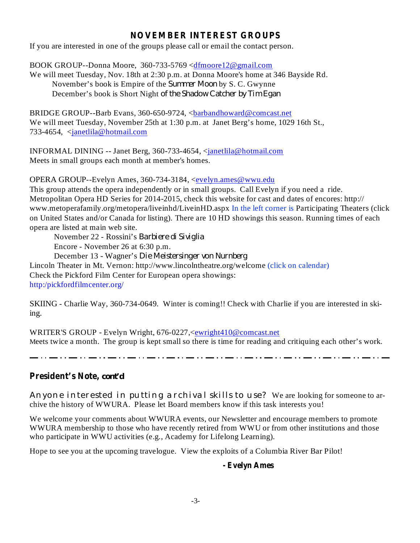## **NOVEMBER INTEREST GROUPS**

If you are interested in one of the groups please call or email the contact person.

BOOK GROUP--Donna Moore, 360-733-5769 <dfmoore12@gmail.com

We will meet Tuesday, Nov. 18th at 2:30 p.m. at Donna Moore's home at 346 Bayside Rd. November's book is Empire of the *Summer Moon* by S. C. Gwynne December's book is Short Night *of the Shadow Catcher by Tim Egan*

BRIDGE GROUP--Barb Evans, 360-650-9724, <br/>barbandhoward@comcast.net We will meet Tuesday, November 25th at 1:30 p.m. at Janet Berg's home, 1029 16th St., 733-4654, <janetlila@hotmail.com

INFORMAL DINING -- Janet Berg, 360-733-4654, <janetlila@hotmail.com Meets in small groups each month at member's homes.

OPERA GROUP--Evelyn Ames, 360-734-3184, <evelyn.ames@wwu.edu

This group attends the opera independently or in small groups. Call Evelyn if you need a ride. Metropolitan Opera HD Series for 2014-2015, check this website for cast and dates of encores: http:// www.metoperafamily.org/metopera/liveinhd/LiveinHD.aspx In the left corner is Participating Theaters (click on United States and/or Canada for listing). There are 10 HD showings this season. Running times of each opera are listed at main web site.

November 22 - Rossini's *Barbiere di Siviglia* Encore - November 26 at 6:30 p.m.

December 13 - Wagner's *Die Meistersinger von Nurnberg*

Lincoln Theater in Mt. Vernon: http://www.lincolntheatre.org/welcome (click on calendar)

Check the Pickford Film Center for European opera showings:

http:/pickfordfilmcenter.org/

SKIING - Charlie Way, 360-734-0649. Winter is coming!! Check with Charlie if you are interested in skiing.

WRITER'S GROUP - Evelyn Wright, 676-0227,<ewright410@comcast.net Meets twice a month. The group is kept small so there is time for reading and critiquing each other's work.

ستود وستود والمتود وستود والمتود والمتود ومسود والمتود والمتود ومتنون والمتود ومسود والمتود والمتود والمتودد المتودد

**President's Note,** *cont'd*

Anyone interested in putting archival skills to use? We are looking for someone to archive the history of WWURA. Please let Board members know if this task interests you!

We welcome your comments about WWURA events, our Newsletter and encourage members to promote WWURA membership to those who have recently retired from WWU or from other institutions and those who participate in WWU activities (e.g., Academy for Lifelong Learning).

Hope to see you at the upcoming travelogue. View the exploits of a Columbia River Bar Pilot!

### **- Evelyn Ames**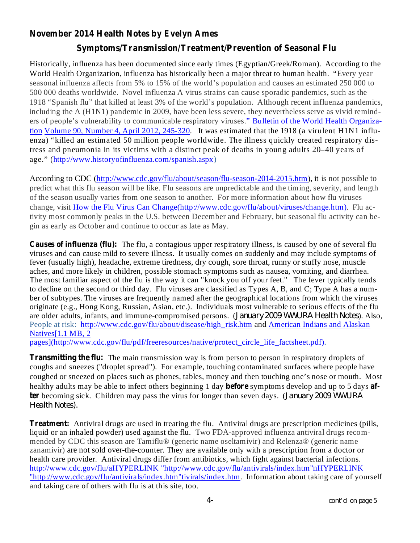# **November 2014 Health Notes by Evelyn Ames**

# **Symptoms/Transmission/Treatment/Prevention of Seasonal Flu**

Historically, influenza has been documented since early times (Egyptian/Greek/Roman). According to the World Health Organization, influenza has historically been a major threat to human health. "Every year seasonal influenza affects from 5% to 15% of the world's population and causes an estimated 250 000 to 500 000 deaths worldwide. Novel influenza A virus strains can cause sporadic pandemics, such as the 1918 "Spanish flu" that killed at least 3% of the world's population. Although recent influenza pandemics, including the A (H1N1) pandemic in 2009, have been less severe, they nevertheless serve as vivid reminders of people's vulnerability to communicable respiratory viruses." Bulletin of the World Health Organization Volume 90, Number 4, April 2012, 245-320. It was estimated that the 1918 (a virulent H1N1 influenza) "killed an estimated 50 million people worldwide. The illness quickly created respiratory distress and pneumonia in its victims with a distinct peak of deaths in young adults 20–40 years of age." (http://www.historyofinfluenza.com/spanish.aspx)

According to CDC (http://www.cdc.gov/flu/about/season/flu-season-2014-2015.htm), it is not possible to predict what this flu season will be like. Flu seasons are unpredictable and the timing, severity, and length of the season usually varies from one season to another. For more information about how flu viruses change, visit How the Flu Virus Can Change(http://www.cdc.gov/flu/about/viruses/change.htm). Flu activity most commonly peaks in the U.S. between December and February, but seasonal flu activity can begin as early as October and continue to occur as late as May.

**Causes of influenza (flu):** The flu, a contagious upper respiratory illness, is caused by one of several flu viruses and can cause mild to severe illness. It usually comes on suddenly and may include symptoms of fever (usually high), headache, extreme tiredness, dry cough, sore throat, runny or stuffy nose, muscle aches, and more likely in children, possible stomach symptoms such as nausea, vomiting, and diarrhea. The most familiar aspect of the flu is the way it can "knock you off your feet." The fever typically tends to decline on the second or third day. Flu viruses are classified as Types A, B, and C; Type A has a number of subtypes. The viruses are frequently named after the geographical locations from which the viruses originate (e.g., Hong Kong, Russian, Asian, etc.). Individuals most vulnerable to serious effects of the flu are older adults, infants, and immune-compromised persons. (January 2009 WWURA Health Notes). Also, People at risk: http://www.cdc.gov/flu/about/disease/high\_risk.htm and American Indians and Alaskan Natives[1.1 MB, 2

pages](http://www.cdc.gov/flu/pdf/freeresources/native/protect\_circle\_life\_factsheet.pdf).

**Transmitting the flu:** The main transmission way is from person to person in respiratory droplets of healthy adults may be able to infect others beginning 1 day **before** symptoms develop and up to 5 days af**ter** becoming sick. Children may pass the virus for longer than seven days. ( *January 2009 WWURA* coughs and sneezes ("droplet spread"). For example, touching contaminated surfaces where people have coughed or sneezed on places such as phones, tables, money and then touching one's nose or mouth. Most *Health Notes).*

**Treatment:** Antiviral drugs are used in treating the flu. Antiviral drugs are prescription medicines (pills, liquid or an inhaled powder) used against the flu. Two FDA-approved influenza antiviral drugs recommended by CDC this season are Tamiflu® (generic name oseltamivir) and Relenza® (generic name zanamivir) are not sold over-the-counter. They are available only with a prescription from a doctor or health care provider. Antiviral drugs differ from antibiotics, which fight against bacterial infections. http://www.cdc.gov/flu/aHYPERLINK "http://www.cdc.gov/flu/antivirals/index.htm"nHYPERLINK "http://www.cdc.gov/flu/antivirals/index.htm"tivirals/index.htm. Information about taking care of yourself and taking care of others with flu is at this site, too.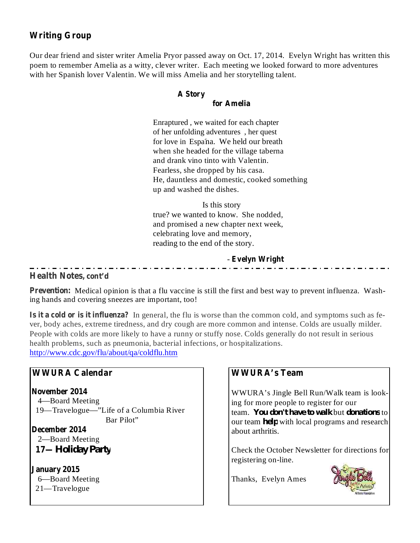# **Writing Group**

Our dear friend and sister writer Amelia Pryor passed away on Oct. 17, 2014. Evelyn Wright has written this poem to remember Amelia as a witty, clever writer. Each meeting we looked forward to more adventures with her Spanish lover Valentin. We will miss Amelia and her storytelling talent.

## **A Story**

#### **for Amelia**

 Enraptured , we waited for each chapter of her unfolding adventures , her quest for love in Espa'na. We held our breath when she headed for the village taberna and drank vino tinto with Valentin. Fearless, she dropped by his casa. He, dauntless and domestic, cooked something up and washed the dishes.

Is this story true? we wanted to know. She nodded, and promised a new chapter next week, celebrating love and memory, reading to the end of the story.

#### **Evelyn Wright** -

## **Health Notes, cont'd**

Prevention: Medical opinion is that a flu vaccine is still the first and best way to prevent influenza. Washing hands and covering sneezes are important, too!

**Is it a cold or is it influenza?** In general, the flu is worse than the common cold, and symptoms such as fever, body aches, extreme tiredness, and dry cough are more common and intense. Colds are usually milder. People with colds are more likely to have a runny or stuffy nose. Colds generally do not result in serious health problems, such as pneumonia, bacterial infections, or hospitalizations. http://www.cdc.gov/flu/about/qa/coldflu.htm

## **WWURA Calendar**

**November 2014** 4—Board Meeting 19—Travelogue—"Life of a Columbia River Bar Pilot"

**December 2014 17—** *Holiday Party* 2—Board Meeting

**January 2015** 6—Board Meeting 21—Travelogue

# **WWURA's Team**

WWURA's Jingle Bell Run/Walk team is looking for more people to register for our fream. You *don't have to walk* but *donations* to our team *help* with local programs and research about arthritis.

Check the October Newsletter for directions for registering on-line.

Thanks, Evelyn Ames